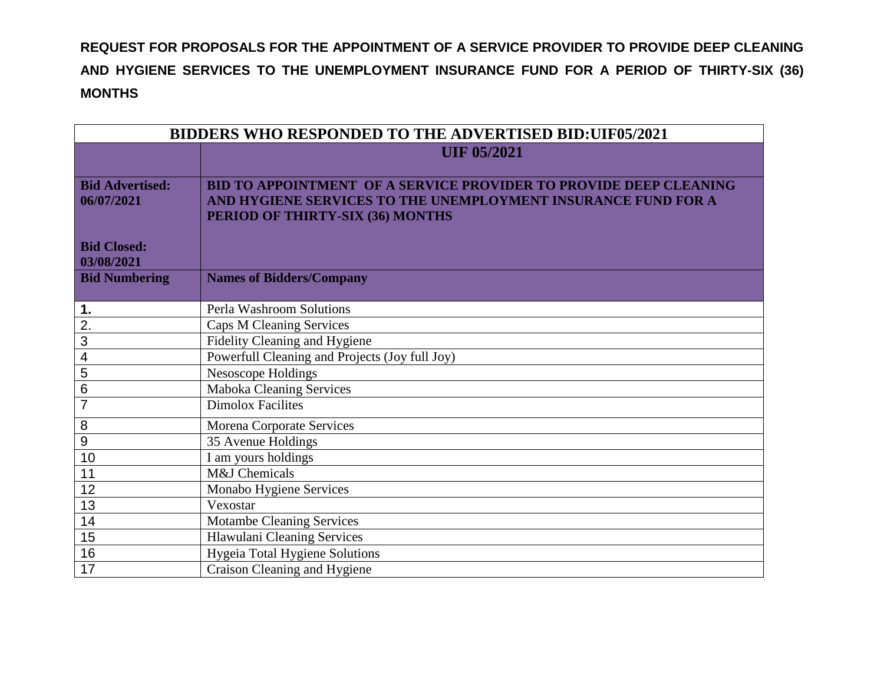**REQUEST FOR PROPOSALS FOR THE APPOINTMENT OF A SERVICE PROVIDER TO PROVIDE DEEP CLEANING AND HYGIENE SERVICES TO THE UNEMPLOYMENT INSURANCE FUND FOR A PERIOD OF THIRTY-SIX (36) MONTHS**

| <b>BIDDERS WHO RESPONDED TO THE ADVERTISED BID:UIF05/2021</b> |                                                                          |
|---------------------------------------------------------------|--------------------------------------------------------------------------|
|                                                               | <b>UIF 05/2021</b>                                                       |
|                                                               |                                                                          |
| <b>Bid Advertised:</b>                                        | <b>BID TO APPOINTMENT OF A SERVICE PROVIDER TO PROVIDE DEEP CLEANING</b> |
| 06/07/2021                                                    | AND HYGIENE SERVICES TO THE UNEMPLOYMENT INSURANCE FUND FOR A            |
|                                                               | PERIOD OF THIRTY-SIX (36) MONTHS                                         |
| <b>Bid Closed:</b>                                            |                                                                          |
| 03/08/2021                                                    |                                                                          |
| <b>Bid Numbering</b>                                          | <b>Names of Bidders/Company</b>                                          |
|                                                               |                                                                          |
| 1.                                                            | Perla Washroom Solutions                                                 |
| 2.                                                            | <b>Caps M Cleaning Services</b>                                          |
| 3                                                             | Fidelity Cleaning and Hygiene                                            |
| 4                                                             | Powerfull Cleaning and Projects (Joy full Joy)                           |
| 5                                                             | Nesoscope Holdings                                                       |
| $\,6$                                                         | Maboka Cleaning Services                                                 |
| $\overline{7}$                                                | <b>Dimolox Facilites</b>                                                 |
| 8                                                             | <b>Morena Corporate Services</b>                                         |
| $\overline{9}$                                                | 35 Avenue Holdings                                                       |
| 10                                                            | $\overline{I}$ am yours holdings                                         |
| 11                                                            | M&J Chemicals                                                            |
| 12                                                            | Monabo Hygiene Services                                                  |
| 13                                                            | Vexostar                                                                 |
| 14                                                            | <b>Motambe Cleaning Services</b>                                         |
| $\overline{15}$                                               | <b>Hlawulani Cleaning Services</b>                                       |
| 16                                                            | Hygeia Total Hygiene Solutions                                           |
| 17                                                            | Craison Cleaning and Hygiene                                             |